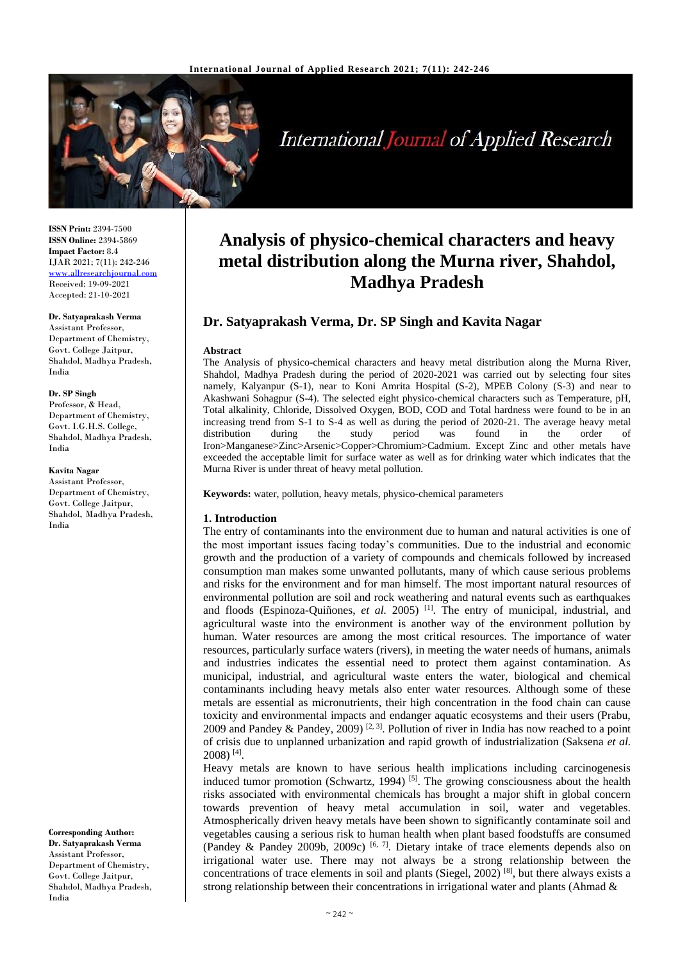

**International Journal of Applied Research** 

**ISSN Print:** 2394-7500 **ISSN Online:** 2394-5869 **Impact Factor:** 8.4 IJAR 2021; 7(11): 242-246 <www.allresearchjournal.com> Received: 19-09-2021 Accepted: 21-10-2021

#### **Dr. Satyaprakash Verma**  Assistant Professor,

Department of Chemistry, Govt. College Jaitpur, Shahdol, Madhya Pradesh, India

#### **Dr. SP Singh**

Professor, & Head, Department of Chemistry, Govt. I.G.H.S. College, Shahdol, Madhya Pradesh, India

### **Kavita Nagar**

Assistant Professor, Department of Chemistry, Govt. College Jaitpur, Shahdol, Madhya Pradesh, India

**Corresponding Author: Dr. Satyaprakash Verma**  Assistant Professor, Department of Chemistry, Govt. College Jaitpur, Shahdol, Madhya Pradesh, India

# **Analysis of physico-chemical characters and heavy metal distribution along the Murna river, Shahdol, Madhya Pradesh**

# **Dr. Satyaprakash Verma, Dr. SP Singh and Kavita Nagar**

### **Abstract**

The Analysis of physico-chemical characters and heavy metal distribution along the Murna River, Shahdol, Madhya Pradesh during the period of 2020-2021 was carried out by selecting four sites namely, Kalyanpur (S-1), near to Koni Amrita Hospital (S-2), MPEB Colony (S-3) and near to Akashwani Sohagpur (S-4). The selected eight physico-chemical characters such as Temperature, pH, Total alkalinity, Chloride, Dissolved Oxygen, BOD, COD and Total hardness were found to be in an increasing trend from S-1 to S-4 as well as during the period of 2020-21. The average heavy metal distribution during the study period was found in the order of Iron>Manganese>Zinc>Arsenic>Copper>Chromium>Cadmium. Except Zinc and other metals have exceeded the acceptable limit for surface water as well as for drinking water which indicates that the Murna River is under threat of heavy metal pollution.

**Keywords:** water, pollution, heavy metals, physico-chemical parameters

## **1. Introduction**

The entry of contaminants into the environment due to human and natural activities is one of the most important issues facing today's communities. Due to the industrial and economic growth and the production of a variety of compounds and chemicals followed by increased consumption man makes some unwanted pollutants, many of which cause serious problems and risks for the environment and for man himself. The most important natural resources of environmental pollution are soil and rock weathering and natural events such as earthquakes and floods (Espinoza-Quiñones, et al. 2005)<sup>[1]</sup>. The entry of municipal, industrial, and agricultural waste into the environment is another way of the environment pollution by human. Water resources are among the most critical resources. The importance of water resources, particularly surface waters (rivers), in meeting the water needs of humans, animals and industries indicates the essential need to protect them against contamination. As municipal, industrial, and agricultural waste enters the water, biological and chemical contaminants including heavy metals also enter water resources. Although some of these metals are essential as micronutrients, their high concentration in the food chain can cause toxicity and environmental impacts and endanger aquatic ecosystems and their users (Prabu, 2009 and Pandey & Pandey, 2009)<sup>[2, 3]</sup>. Pollution of river in India has now reached to a point of crisis due to unplanned urbanization and rapid growth of industrialization (Saksena *et al.*  $2008$ )<sup>[4]</sup>.

Heavy metals are known to have serious health implications including carcinogenesis induced tumor promotion (Schwartz, 1994)<sup>[5]</sup>. The growing consciousness about the health risks associated with environmental chemicals has brought a major shift in global concern towards prevention of heavy metal accumulation in soil, water and vegetables. Atmospherically driven heavy metals have been shown to significantly contaminate soil and vegetables causing a serious risk to human health when plant based foodstuffs are consumed (Pandey & Pandey 2009b, 2009c)  $[6, 7]$ . Dietary intake of trace elements depends also on irrigational water use. There may not always be a strong relationship between the concentrations of trace elements in soil and plants (Siegel, 2002)<sup>[8]</sup>, but there always exists a strong relationship between their concentrations in irrigational water and plants (Ahmad &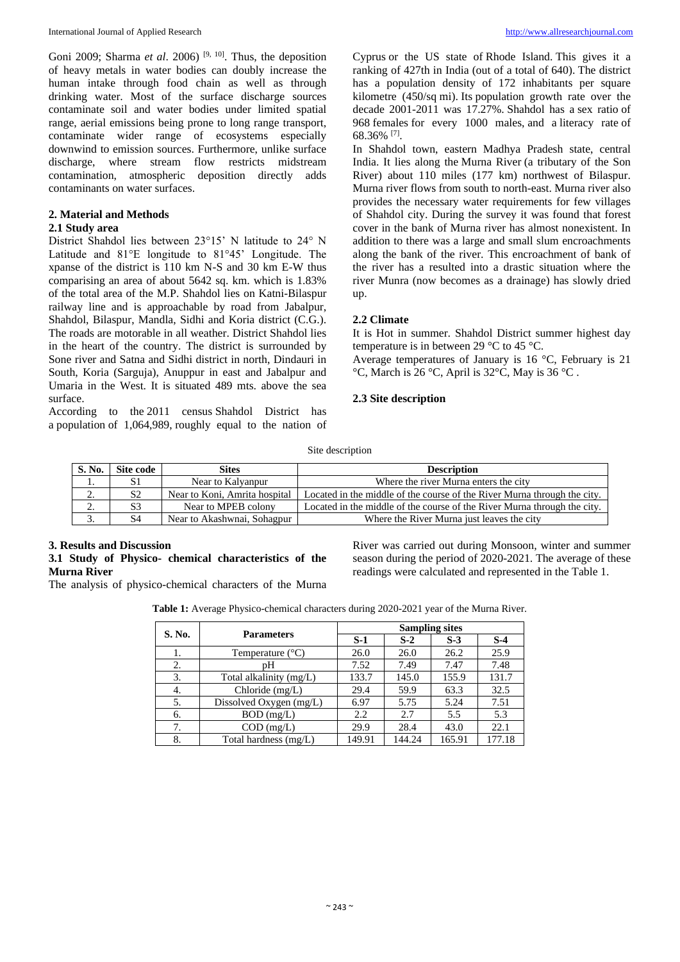Goni 2009; Sharma *et al.* 2006)<sup>[9, 10]</sup>. Thus, the deposition of heavy metals in water bodies can doubly increase the human intake through food chain as well as through drinking water. Most of the surface discharge sources contaminate soil and water bodies under limited spatial range, aerial emissions being prone to long range transport, contaminate wider range of ecosystems especially downwind to emission sources. Furthermore, unlike surface discharge, where stream flow restricts midstream contamination, atmospheric deposition directly adds contaminants on water surfaces.

# **2. Material and Methods**

# **2.1 Study area**

District Shahdol lies between 23°15' N latitude to 24° N Latitude and 81°E longitude to 81°45' Longitude. The xpanse of the district is 110 km N-S and 30 km E-W thus comparising an area of about 5642 sq. km. which is 1.83% of the total area of the M.P. Shahdol lies on Katni-Bilaspur railway line and is approachable by road from Jabalpur, Shahdol, Bilaspur, Mandla, Sidhi and Koria district (C.G.). The roads are motorable in all weather. District Shahdol lies in the heart of the country. The district is surrounded by Sone river and Satna and Sidhi district in north, Dindauri in South, Koria (Sarguja), Anuppur in east and Jabalpur and Umaria in the West. It is situated 489 mts. above the sea surface.

According to the 2011 census Shahdol District has a population of 1,064,989, roughly equal to the nation of Cyprus or the US state of Rhode Island. This gives it a ranking of 427th in India (out of a total of 640). The district has a population density of 172 inhabitants per square kilometre (450/sq mi). Its population growth rate over the decade 2001-2011 was 17.27%. Shahdol has a sex ratio of 968 females for every 1000 males, and a literacy rate of 68.36% [7] .

In Shahdol town, eastern Madhya Pradesh state, central India. It lies along the Murna River (a tributary of the Son River) about 110 miles (177 km) northwest of Bilaspur. Murna river flows from south to north-east. Murna river also provides the necessary water requirements for few villages of Shahdol city. During the survey it was found that forest cover in the bank of Murna river has almost nonexistent. In addition to there was a large and small slum encroachments along the bank of the river. This encroachment of bank of the river has a resulted into a drastic situation where the river Munra (now becomes as a drainage) has slowly dried up.

## **2.2 Climate**

It is Hot in summer. Shahdol District summer highest day temperature is in between 29 °C to 45 °C.

Average temperatures of January is 16 °C, February is 21  $\rm{^{\circ}C}$ , March is 26  $\rm{^{\circ}C}$ , April is 32 $\rm{^{\circ}C}$ , May is 36  $\rm{^{\circ}C}$ .

## **2.3 Site description**

Site description

| S. No.   | Site code      | <b>Sites</b>                  | <b>Description</b>                                                       |  |  |
|----------|----------------|-------------------------------|--------------------------------------------------------------------------|--|--|
| .,       | S1             | Near to Kalvanpur             | Where the river Murna enters the city                                    |  |  |
| <u>.</u> | S <sub>2</sub> | Near to Koni, Amrita hospital | Located in the middle of the course of the River Murna through the city. |  |  |
| <u>.</u> | S3             | Near to MPEB colony           | Located in the middle of the course of the River Murna through the city. |  |  |
| J.       | S4             | Near to Akashwnai, Sohagpur   | Where the River Murna just leaves the city                               |  |  |

# **3. Results and Discussion**

# **3.1 Study of Physico- chemical characteristics of the Murna River**

The analysis of physico-chemical characters of the Murna

River was carried out during Monsoon, winter and summer season during the period of 2020-2021. The average of these readings were calculated and represented in the Table 1.

**Table 1:** Average Physico-chemical characters during 2020-2021 year of the Murna River.

| S. No. |                           | <b>Sampling sites</b> |        |        |        |
|--------|---------------------------|-----------------------|--------|--------|--------|
|        | <b>Parameters</b>         | $S-1$                 | $S-2$  | $S-3$  | $S-4$  |
| 1.     | Temperature $(^{\circ}C)$ | 26.0                  | 26.0   | 26.2   | 25.9   |
| 2.     | pΗ                        | 7.52                  | 7.49   | 7.47   | 7.48   |
| 3.     | Total alkalinity (mg/L)   | 133.7                 | 145.0  | 155.9  | 131.7  |
| 4.     | Chloride $(mg/L)$         | 29.4                  | 59.9   | 63.3   | 32.5   |
| 5.     | Dissolved Oxygen (mg/L)   | 6.97                  | 5.75   | 5.24   | 7.51   |
| 6.     | $BOD$ (mg/L)              | 2.2                   | 2.7    | 5.5    | 5.3    |
| 7.     | $COD$ (mg/L)              | 29.9                  | 28.4   | 43.0   | 22.1   |
| 8.     | Total hardness (mg/L)     | 149.91                | 144.24 | 165.91 | 177.18 |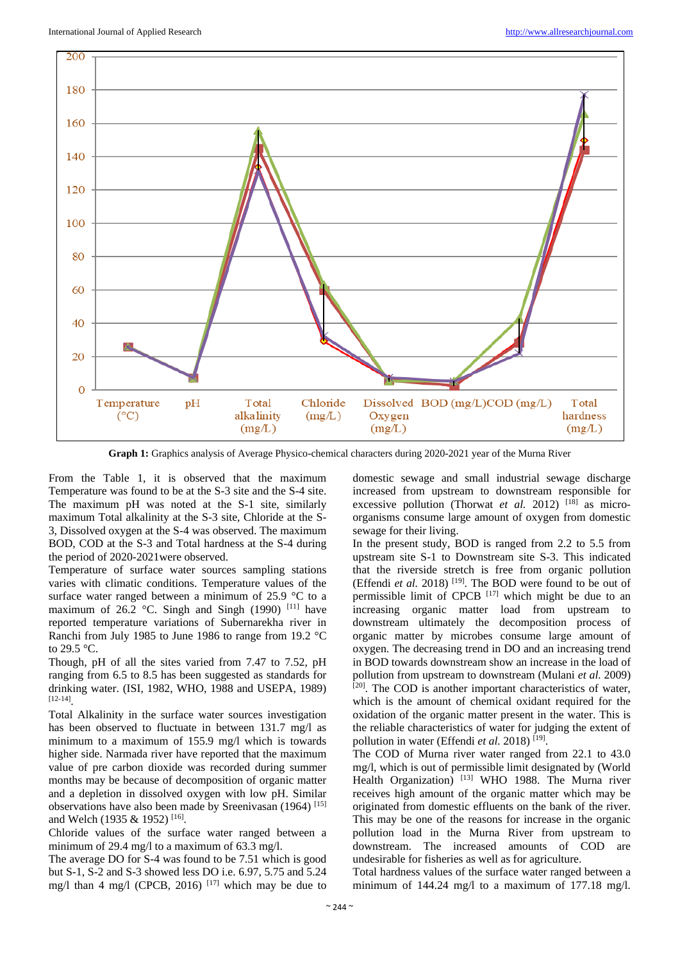

**Graph 1:** Graphics analysis of Average Physico-chemical characters during 2020-2021 year of the Murna River

From the Table 1, it is observed that the maximum Temperature was found to be at the S-3 site and the S-4 site. The maximum pH was noted at the S-1 site, similarly maximum Total alkalinity at the S-3 site, Chloride at the S-3, Dissolved oxygen at the S-4 was observed. The maximum BOD, COD at the S-3 and Total hardness at the S-4 during the period of 2020-2021were observed.

Temperature of surface water sources sampling stations varies with climatic conditions. Temperature values of the surface water ranged between a minimum of 25.9 °C to a maximum of 26.2 °C. Singh and Singh (1990)  $[11]$  have reported temperature variations of Subernarekha river in Ranchi from July 1985 to June 1986 to range from 19.2 °C to 29.5 °C.

Though, pH of all the sites varied from 7.47 to 7.52, pH ranging from 6.5 to 8.5 has been suggested as standards for drinking water. (ISI, 1982, WHO, 1988 and USEPA, 1989) [12-14] .

Total Alkalinity in the surface water sources investigation has been observed to fluctuate in between 131.7 mg/l as minimum to a maximum of 155.9 mg/l which is towards higher side. Narmada river have reported that the maximum value of pre carbon dioxide was recorded during summer months may be because of decomposition of organic matter and a depletion in dissolved oxygen with low pH. Similar observations have also been made by Sreenivasan (1964) [15] and Welch (1935 & 1952)<sup>[16]</sup>.

Chloride values of the surface water ranged between a minimum of 29.4 mg/l to a maximum of 63.3 mg/l.

The average DO for S-4 was found to be 7.51 which is good but S-1, S-2 and S-3 showed less DO i.e. 6.97, 5.75 and 5.24 mg/l than 4 mg/l (CPCB, 2016)  $[17]$  which may be due to

domestic sewage and small industrial sewage discharge increased from upstream to downstream responsible for excessive pollution (Thorwat et al. 2012)<sup>[18]</sup> as microorganisms consume large amount of oxygen from domestic sewage for their living.

In the present study, BOD is ranged from 2.2 to 5.5 from upstream site S-1 to Downstream site S-3. This indicated that the riverside stretch is free from organic pollution (Effendi et al. 2018)<sup>[19]</sup>. The BOD were found to be out of permissible limit of CPCB  $[17]$  which might be due to an increasing organic matter load from upstream to downstream ultimately the decomposition process of organic matter by microbes consume large amount of oxygen. The decreasing trend in DO and an increasing trend in BOD towards downstream show an increase in the load of pollution from upstream to downstream (Mulani *et al.* 2009) [20]. The COD is another important characteristics of water, which is the amount of chemical oxidant required for the oxidation of the organic matter present in the water. This is the reliable characteristics of water for judging the extent of pollution in water (Effendi *et al.* 2018)<sup>[19]</sup>.

The COD of Murna river water ranged from 22.1 to 43.0 mg/l, which is out of permissible limit designated by (World Health Organization) [13] WHO 1988. The Murna river receives high amount of the organic matter which may be originated from domestic effluents on the bank of the river. This may be one of the reasons for increase in the organic pollution load in the Murna River from upstream to downstream. The increased amounts of COD are undesirable for fisheries as well as for agriculture.

Total hardness values of the surface water ranged between a minimum of 144.24 mg/l to a maximum of 177.18 mg/l.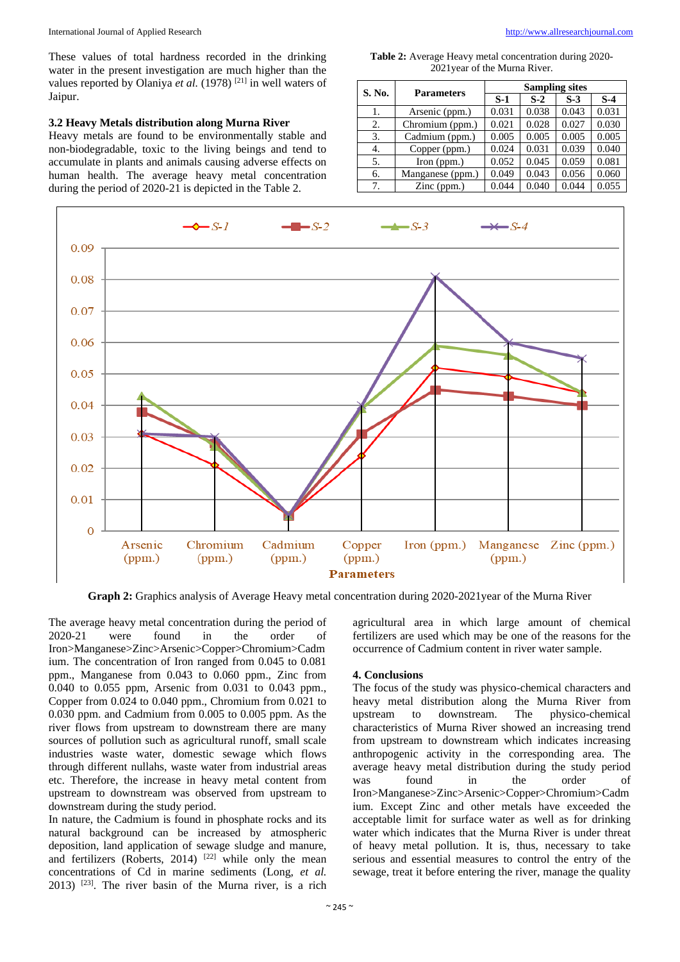These values of total hardness recorded in the drinking water in the present investigation are much higher than the values reported by Olaniya et al. (1978)<sup>[21]</sup> in well waters of Jaipur.

# **3.2 Heavy Metals distribution along Murna River**

Heavy metals are found to be environmentally stable and non-biodegradable, toxic to the living beings and tend to accumulate in plants and animals causing adverse effects on human health. The average heavy metal concentration during the period of 2020-21 is depicted in the Table 2.

**Table 2:** Average Heavy metal concentration during 2020- 2021year of the Murna River.

| S. No. | <b>Parameters</b>    | <b>Sampling sites</b> |       |       |       |  |
|--------|----------------------|-----------------------|-------|-------|-------|--|
|        |                      | $S-1$                 | $S-2$ | $S-3$ | $S-4$ |  |
| 1.     | Arsenic (ppm.)       | 0.031                 | 0.038 | 0.043 | 0.031 |  |
| 2.     | Chromium (ppm.)      | 0.021                 | 0.028 | 0.027 | 0.030 |  |
| 3.     | Cadmium (ppm.)       | 0.005                 | 0.005 | 0.005 | 0.005 |  |
| 4.     | Copper (ppm.)        | 0.024                 | 0.031 | 0.039 | 0.040 |  |
| 5.     | Iron $(ppm.)$        | 0.052                 | 0.045 | 0.059 | 0.081 |  |
| 6.     | Manganese (ppm.)     | 0.049                 | 0.043 | 0.056 | 0.060 |  |
| 7.     | $\text{Zinc (ppm.)}$ | 0.044                 | 0.040 | 0.044 | 0.055 |  |



**Graph 2:** Graphics analysis of Average Heavy metal concentration during 2020-2021year of the Murna River

The average heavy metal concentration during the period of 2020-21 were found in the order of Iron>Manganese>Zinc>Arsenic>Copper>Chromium>Cadm ium. The concentration of Iron ranged from 0.045 to 0.081 ppm., Manganese from 0.043 to 0.060 ppm., Zinc from 0.040 to 0.055 ppm, Arsenic from 0.031 to 0.043 ppm., Copper from 0.024 to 0.040 ppm., Chromium from 0.021 to 0.030 ppm. and Cadmium from 0.005 to 0.005 ppm. As the river flows from upstream to downstream there are many sources of pollution such as agricultural runoff, small scale industries waste water, domestic sewage which flows through different nullahs, waste water from industrial areas etc. Therefore, the increase in heavy metal content from upstream to downstream was observed from upstream to downstream during the study period.

In nature, the Cadmium is found in phosphate rocks and its natural background can be increased by atmospheric deposition, land application of sewage sludge and manure, and fertilizers (Roberts, 2014)  $^{[22]}$  while only the mean concentrations of Cd in marine sediments (Long, *et al.*  $2013$ ) <sup>[23]</sup>. The river basin of the Murna river, is a rich

agricultural area in which large amount of chemical fertilizers are used which may be one of the reasons for the occurrence of Cadmium content in river water sample.

## **4. Conclusions**

The focus of the study was physico-chemical characters and heavy metal distribution along the Murna River from upstream to downstream. The physico-chemical characteristics of Murna River showed an increasing trend from upstream to downstream which indicates increasing anthropogenic activity in the corresponding area. The average heavy metal distribution during the study period was found in the order of Iron>Manganese>Zinc>Arsenic>Copper>Chromium>Cadm ium. Except Zinc and other metals have exceeded the acceptable limit for surface water as well as for drinking water which indicates that the Murna River is under threat of heavy metal pollution. It is, thus, necessary to take serious and essential measures to control the entry of the sewage, treat it before entering the river, manage the quality